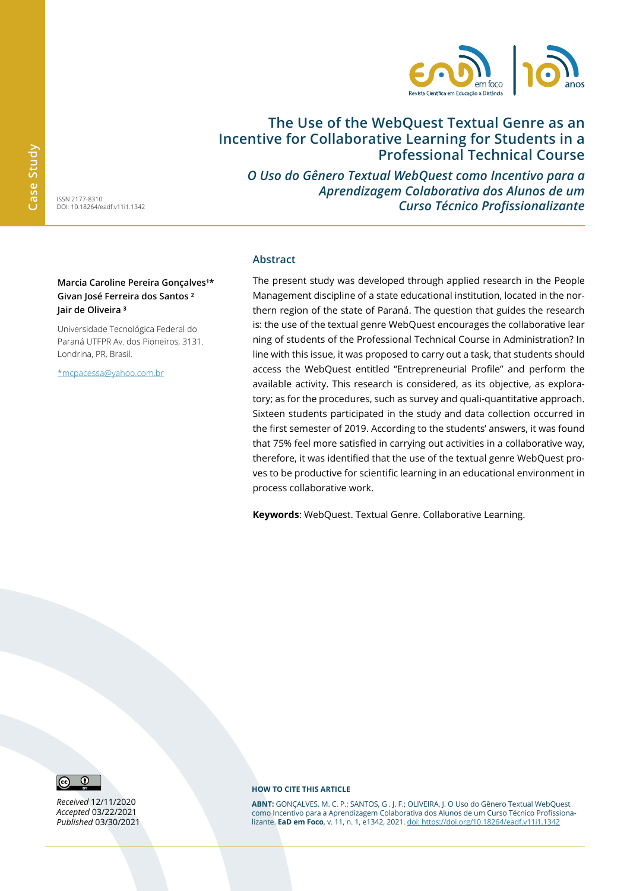

# **The Use of the WebQuest Textual Genre as an Incentive for Collaborative Learning for Students in a Professional Technical Course**

*O Uso do Gênero Textual WebQuest como Incentivo para a Aprendizagem Colaborativa dos Alunos de um Curso Técnico Profissionalizante*

ISSN 2177-8310 DOI: 10.18264/eadf.v11i1.1342

**Marcia Caroline Pereira Gonçalves<sup>1\*</sup> Givan José Ferreira dos Santos ² Jair de Oliveira ³**

Universidade Tecnológica Federal do Paraná UTFPR Av. dos Pioneiros, 3131. Londrina, PR, Brasil.

\*mcpacessa@yahoo.com.br

#### **Abstract**

The present study was developed through applied research in the People Management discipline of a state educational institution, located in the northern region of the state of Paraná. The question that guides the research is: the use of the textual genre WebQuest encourages the collaborative lear ning of students of the Professional Technical Course in Administration? In line with this issue, it was proposed to carry out a task, that students should access the WebQuest entitled "Entrepreneurial Profile" and perform the available activity. This research is considered, as its objective, as exploratory; as for the procedures, such as survey and quali-quantitative approach. Sixteen students participated in the study and data collection occurred in the first semester of 2019. According to the students' answers, it was found that 75% feel more satisfied in carrying out activities in a collaborative way, therefore, it was identified that the use of the textual genre WebQuest proves to be productive for scientific learning in an educational environment in process collaborative work.

**Keywords**: WebQuest. Textual Genre. Collaborative Learning.



*Received* 12/11/2020 *Accepted* 03/22/2021 *Published* 03/30/2021

#### **HOW TO CITE THIS ARTICLE**

**ABNT:** GONÇALVES. M. C. P.; SANTOS, G . J. F.; OLIVEIRA, J. O Uso do Gênero Textual WebQuest como Incentivo para a Aprendizagem Colaborativa dos Alunos de um Curso Técnico Profissionalizante. **EaD em Foco**, v. 11, n. 1, e1342, 2021. doi: https://doi.org/10.18264/eadf.v11i1.1342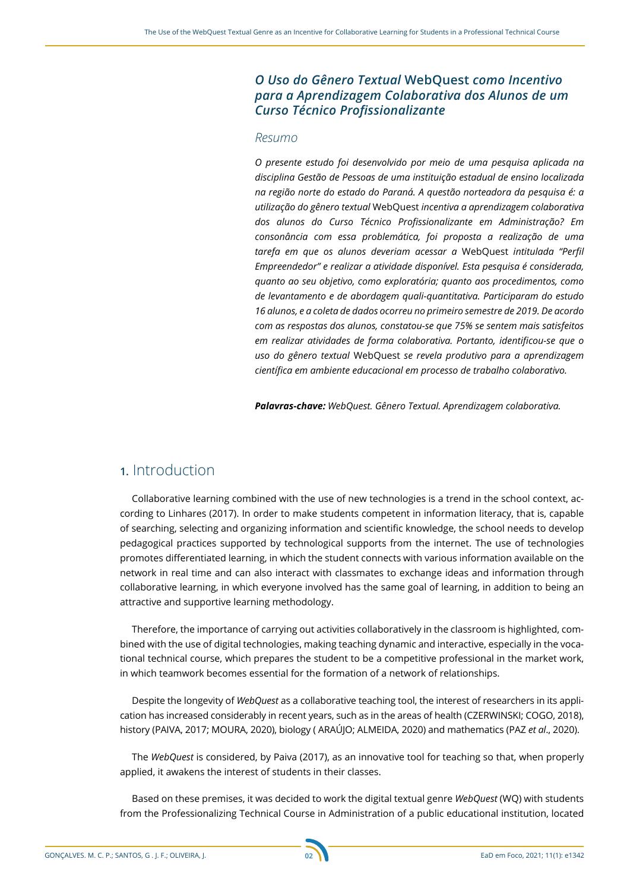### *O Uso do Gênero Textual* **WebQuest** *como Incentivo para a Aprendizagem Colaborativa dos Alunos de um Curso Técnico Profissionalizante*

#### *Resumo*

*O presente estudo foi desenvolvido por meio de uma pesquisa aplicada na disciplina Gestão de Pessoas de uma instituição estadual de ensino localizada na região norte do estado do Paraná. A questão norteadora da pesquisa é: a utilização do gênero textual* WebQuest *incentiva a aprendizagem colaborativa dos alunos do Curso Técnico Profissionalizante em Administração? Em consonância com essa problemática, foi proposta a realização de uma tarefa em que os alunos deveriam acessar a* WebQuest *intitulada "Perfil Empreendedor" e realizar a atividade disponível. Esta pesquisa é considerada, quanto ao seu objetivo, como exploratória; quanto aos procedimentos, como de levantamento e de abordagem quali-quantitativa. Participaram do estudo 16 alunos, e a coleta de dados ocorreu no primeiro semestre de 2019. De acordo com as respostas dos alunos, constatou-se que 75% se sentem mais satisfeitos em realizar atividades de forma colaborativa. Portanto, identificou-se que o uso do gênero textual* WebQuest *se revela produtivo para a aprendizagem científica em ambiente educacional em processo de trabalho colaborativo.*

*Palavras-chave: WebQuest. Gênero Textual. Aprendizagem colaborativa.*

# **1.** Introduction

Collaborative learning combined with the use of new technologies is a trend in the school context, according to Linhares (2017). In order to make students competent in information literacy, that is, capable of searching, selecting and organizing information and scientific knowledge, the school needs to develop pedagogical practices supported by technological supports from the internet. The use of technologies promotes differentiated learning, in which the student connects with various information available on the network in real time and can also interact with classmates to exchange ideas and information through collaborative learning, in which everyone involved has the same goal of learning, in addition to being an attractive and supportive learning methodology.

Therefore, the importance of carrying out activities collaboratively in the classroom is highlighted, combined with the use of digital technologies, making teaching dynamic and interactive, especially in the vocational technical course, which prepares the student to be a competitive professional in the market work, in which teamwork becomes essential for the formation of a network of relationships.

Despite the longevity of *WebQuest* as a collaborative teaching tool, the interest of researchers in its application has increased considerably in recent years, such as in the areas of health (CZERWINSKI; COGO, 2018), history (PAIVA, 2017; MOURA, 2020), biology ( ARAÚJO; ALMEIDA, 2020) and mathematics (PAZ *et al*., 2020).

The *WebQuest* is considered, by Paiva (2017), as an innovative tool for teaching so that, when properly applied, it awakens the interest of students in their classes.

Based on these premises, it was decided to work the digital textual genre *WebQuest* (WQ) with students from the Professionalizing Technical Course in Administration of a public educational institution, located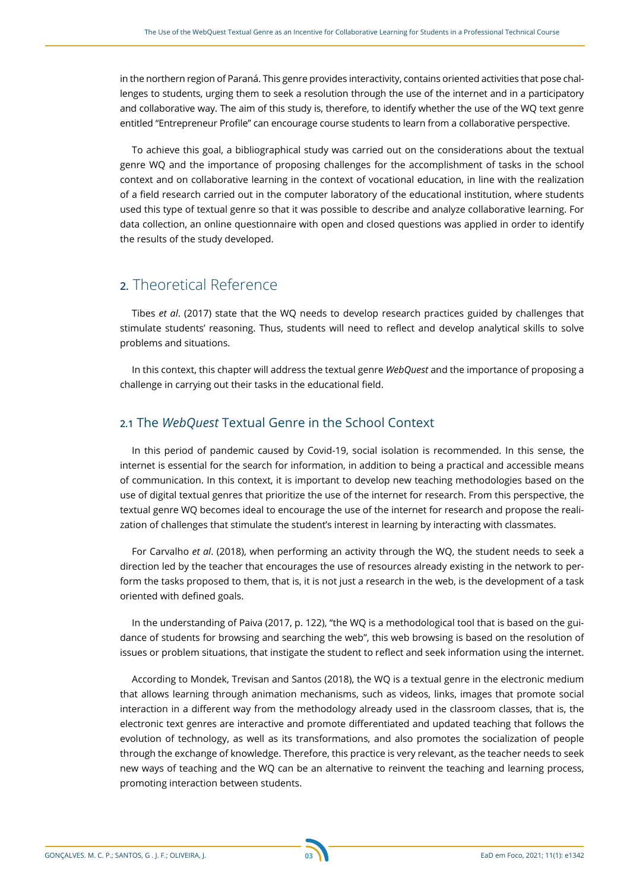in the northern region of Paraná. This genre provides interactivity, contains oriented activities that pose challenges to students, urging them to seek a resolution through the use of the internet and in a participatory and collaborative way. The aim of this study is, therefore, to identify whether the use of the WQ text genre entitled "Entrepreneur Profile" can encourage course students to learn from a collaborative perspective.

To achieve this goal, a bibliographical study was carried out on the considerations about the textual genre WQ and the importance of proposing challenges for the accomplishment of tasks in the school context and on collaborative learning in the context of vocational education, in line with the realization of a field research carried out in the computer laboratory of the educational institution, where students used this type of textual genre so that it was possible to describe and analyze collaborative learning. For data collection, an online questionnaire with open and closed questions was applied in order to identify the results of the study developed.

# **2.** Theoretical Reference

Tibes *et al*. (2017) state that the WQ needs to develop research practices guided by challenges that stimulate students' reasoning. Thus, students will need to reflect and develop analytical skills to solve problems and situations.

In this context, this chapter will address the textual genre *WebQuest* and the importance of proposing a challenge in carrying out their tasks in the educational field.

#### **2.1** The *WebQuest* Textual Genre in the School Context

In this period of pandemic caused by Covid-19, social isolation is recommended. In this sense, the internet is essential for the search for information, in addition to being a practical and accessible means of communication. In this context, it is important to develop new teaching methodologies based on the use of digital textual genres that prioritize the use of the internet for research. From this perspective, the textual genre WQ becomes ideal to encourage the use of the internet for research and propose the realization of challenges that stimulate the student's interest in learning by interacting with classmates.

For Carvalho *et al*. (2018), when performing an activity through the WQ, the student needs to seek a direction led by the teacher that encourages the use of resources already existing in the network to perform the tasks proposed to them, that is, it is not just a research in the web, is the development of a task oriented with defined goals.

In the understanding of Paiva (2017, p. 122), "the WQ is a methodological tool that is based on the guidance of students for browsing and searching the web", this web browsing is based on the resolution of issues or problem situations, that instigate the student to reflect and seek information using the internet.

According to Mondek, Trevisan and Santos (2018), the WQ is a textual genre in the electronic medium that allows learning through animation mechanisms, such as videos, links, images that promote social interaction in a different way from the methodology already used in the classroom classes, that is, the electronic text genres are interactive and promote differentiated and updated teaching that follows the evolution of technology, as well as its transformations, and also promotes the socialization of people through the exchange of knowledge. Therefore, this practice is very relevant, as the teacher needs to seek new ways of teaching and the WQ can be an alternative to reinvent the teaching and learning process, promoting interaction between students.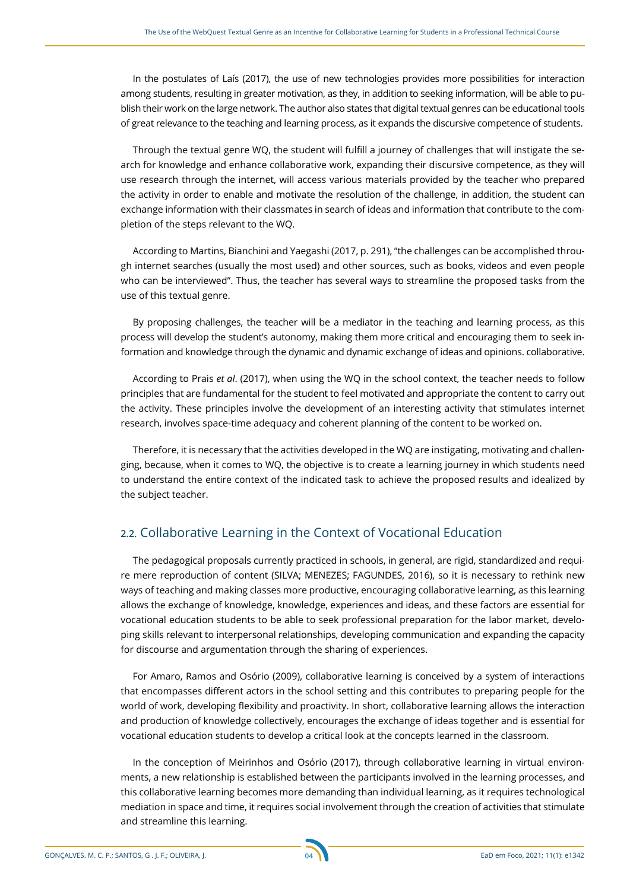In the postulates of Laís (2017), the use of new technologies provides more possibilities for interaction among students, resulting in greater motivation, as they, in addition to seeking information, will be able to publish their work on the large network. The author also states that digital textual genres can be educational tools of great relevance to the teaching and learning process, as it expands the discursive competence of students.

Through the textual genre WQ, the student will fulfill a journey of challenges that will instigate the search for knowledge and enhance collaborative work, expanding their discursive competence, as they will use research through the internet, will access various materials provided by the teacher who prepared the activity in order to enable and motivate the resolution of the challenge, in addition, the student can exchange information with their classmates in search of ideas and information that contribute to the completion of the steps relevant to the WQ.

According to Martins, Bianchini and Yaegashi (2017, p. 291), "the challenges can be accomplished through internet searches (usually the most used) and other sources, such as books, videos and even people who can be interviewed". Thus, the teacher has several ways to streamline the proposed tasks from the use of this textual genre.

By proposing challenges, the teacher will be a mediator in the teaching and learning process, as this process will develop the student's autonomy, making them more critical and encouraging them to seek information and knowledge through the dynamic and dynamic exchange of ideas and opinions. collaborative.

According to Prais *et al*. (2017), when using the WQ in the school context, the teacher needs to follow principles that are fundamental for the student to feel motivated and appropriate the content to carry out the activity. These principles involve the development of an interesting activity that stimulates internet research, involves space-time adequacy and coherent planning of the content to be worked on.

Therefore, it is necessary that the activities developed in the WQ are instigating, motivating and challenging, because, when it comes to WQ, the objective is to create a learning journey in which students need to understand the entire context of the indicated task to achieve the proposed results and idealized by the subject teacher.

#### **2.2.** Collaborative Learning in the Context of Vocational Education

The pedagogical proposals currently practiced in schools, in general, are rigid, standardized and require mere reproduction of content (SILVA; MENEZES; FAGUNDES, 2016), so it is necessary to rethink new ways of teaching and making classes more productive, encouraging collaborative learning, as this learning allows the exchange of knowledge, knowledge, experiences and ideas, and these factors are essential for vocational education students to be able to seek professional preparation for the labor market, developing skills relevant to interpersonal relationships, developing communication and expanding the capacity for discourse and argumentation through the sharing of experiences.

For Amaro, Ramos and Osório (2009), collaborative learning is conceived by a system of interactions that encompasses different actors in the school setting and this contributes to preparing people for the world of work, developing flexibility and proactivity. In short, collaborative learning allows the interaction and production of knowledge collectively, encourages the exchange of ideas together and is essential for vocational education students to develop a critical look at the concepts learned in the classroom.

In the conception of Meirinhos and Osório (2017), through collaborative learning in virtual environments, a new relationship is established between the participants involved in the learning processes, and this collaborative learning becomes more demanding than individual learning, as it requires technological mediation in space and time, it requires social involvement through the creation of activities that stimulate and streamline this learning.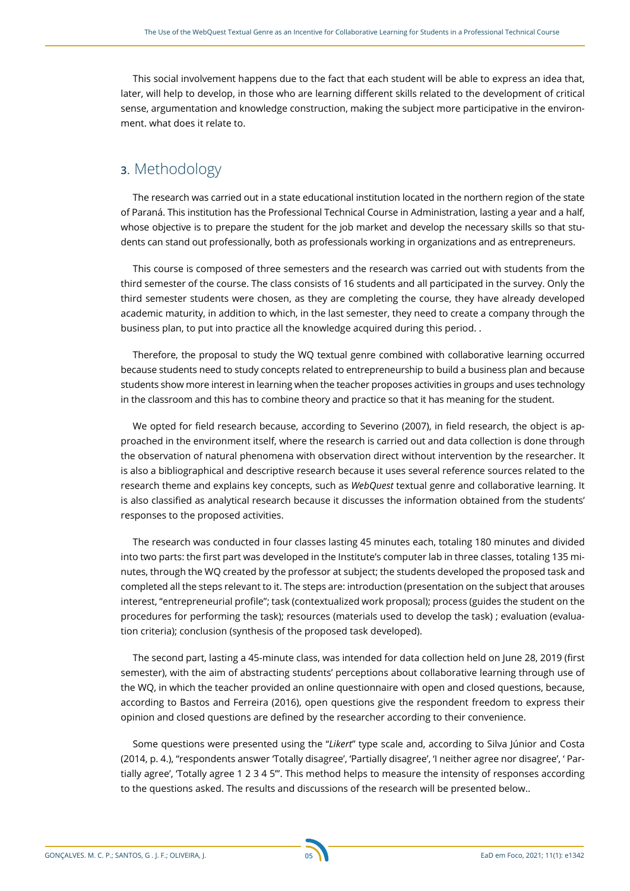This social involvement happens due to the fact that each student will be able to express an idea that, later, will help to develop, in those who are learning different skills related to the development of critical sense, argumentation and knowledge construction, making the subject more participative in the environment. what does it relate to.

# **3**. Methodology

The research was carried out in a state educational institution located in the northern region of the state of Paraná. This institution has the Professional Technical Course in Administration, lasting a year and a half, whose objective is to prepare the student for the job market and develop the necessary skills so that students can stand out professionally, both as professionals working in organizations and as entrepreneurs.

This course is composed of three semesters and the research was carried out with students from the third semester of the course. The class consists of 16 students and all participated in the survey. Only the third semester students were chosen, as they are completing the course, they have already developed academic maturity, in addition to which, in the last semester, they need to create a company through the business plan, to put into practice all the knowledge acquired during this period. .

Therefore, the proposal to study the WQ textual genre combined with collaborative learning occurred because students need to study concepts related to entrepreneurship to build a business plan and because students show more interest in learning when the teacher proposes activities in groups and uses technology in the classroom and this has to combine theory and practice so that it has meaning for the student.

We opted for field research because, according to Severino (2007), in field research, the object is approached in the environment itself, where the research is carried out and data collection is done through the observation of natural phenomena with observation direct without intervention by the researcher. It is also a bibliographical and descriptive research because it uses several reference sources related to the research theme and explains key concepts, such as *WebQuest* textual genre and collaborative learning. It is also classified as analytical research because it discusses the information obtained from the students' responses to the proposed activities.

The research was conducted in four classes lasting 45 minutes each, totaling 180 minutes and divided into two parts: the first part was developed in the Institute's computer lab in three classes, totaling 135 minutes, through the WQ created by the professor at subject; the students developed the proposed task and completed all the steps relevant to it. The steps are: introduction (presentation on the subject that arouses interest, "entrepreneurial profile"; task (contextualized work proposal); process (guides the student on the procedures for performing the task); resources (materials used to develop the task) ; evaluation (evaluation criteria); conclusion (synthesis of the proposed task developed).

The second part, lasting a 45-minute class, was intended for data collection held on June 28, 2019 (first semester), with the aim of abstracting students' perceptions about collaborative learning through use of the WQ, in which the teacher provided an online questionnaire with open and closed questions, because, according to Bastos and Ferreira (2016), open questions give the respondent freedom to express their opinion and closed questions are defined by the researcher according to their convenience.

Some questions were presented using the "*Likert*" type scale and, according to Silva Júnior and Costa (2014, p. 4.), "respondents answer 'Totally disagree', 'Partially disagree', 'I neither agree nor disagree', ' Partially agree', 'Totally agree 1 2 3 4 5'". This method helps to measure the intensity of responses according to the questions asked. The results and discussions of the research will be presented below..

GONÇALVES. M. C. P.; SANTOS, G . J. F.; OLIVEIRA, J. EaD em Foco, 2021; 11(1): e1342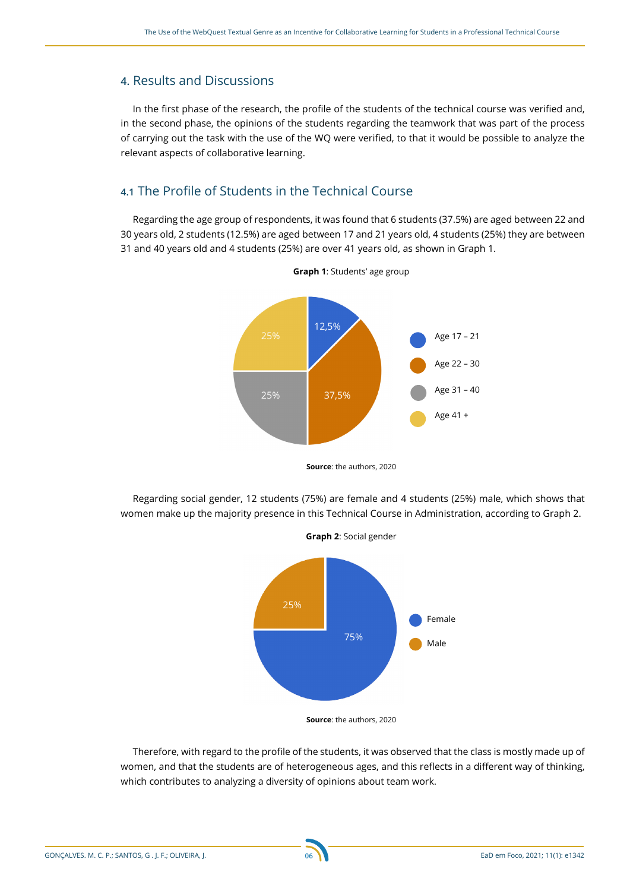#### **4.** Results and Discussions

In the first phase of the research, the profile of the students of the technical course was verified and, in the second phase, the opinions of the students regarding the teamwork that was part of the process of carrying out the task with the use of the WQ were verified, to that it would be possible to analyze the relevant aspects of collaborative learning.

### **4.1** The Profile of Students in the Technical Course

Regarding the age group of respondents, it was found that 6 students (37.5%) are aged between 22 and 30 years old, 2 students (12.5%) are aged between 17 and 21 years old, 4 students (25%) they are between 31 and 40 years old and 4 students (25%) are over 41 years old, as shown in Graph 1.



**Graph 1**: Students' age group

**Source**: the authors, 2020

Regarding social gender, 12 students (75%) are female and 4 students (25%) male, which shows that women make up the majority presence in this Technical Course in Administration, according to Graph 2.



**Source**: the authors, 2020

Therefore, with regard to the profile of the students, it was observed that the class is mostly made up of women, and that the students are of heterogeneous ages, and this reflects in a different way of thinking, which contributes to analyzing a diversity of opinions about team work.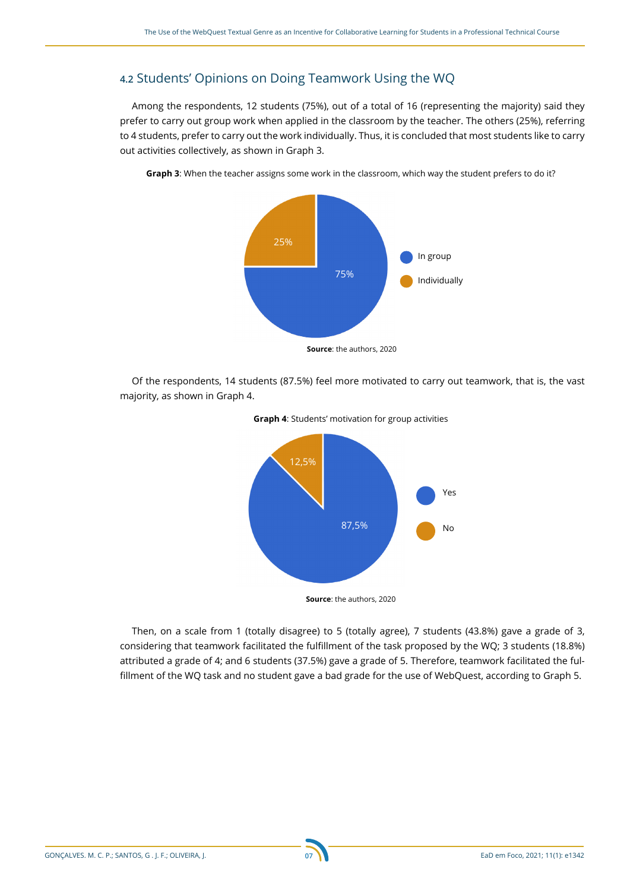### **4.2** Students' Opinions on Doing Teamwork Using the WQ

Among the respondents, 12 students (75%), out of a total of 16 (representing the majority) said they prefer to carry out group work when applied in the classroom by the teacher. The others (25%), referring to 4 students, prefer to carry out the work individually. Thus, it is concluded that most students like to carry out activities collectively, as shown in Graph 3.



**Graph 3**: When the teacher assigns some work in the classroom, which way the student prefers to do it?

Of the respondents, 14 students (87.5%) feel more motivated to carry out teamwork, that is, the vast majority, as shown in Graph 4.





Then, on a scale from 1 (totally disagree) to 5 (totally agree), 7 students (43.8%) gave a grade of 3, considering that teamwork facilitated the fulfillment of the task proposed by the WQ; 3 students (18.8%) attributed a grade of 4; and 6 students (37.5%) gave a grade of 5. Therefore, teamwork facilitated the fulfillment of the WQ task and no student gave a bad grade for the use of WebQuest, according to Graph 5.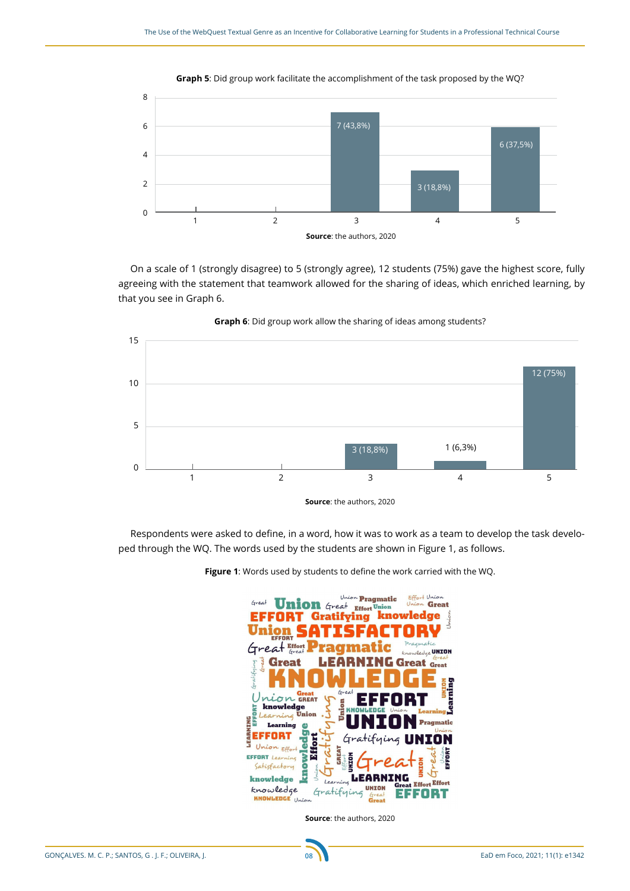

**Graph 5**: Did group work facilitate the accomplishment of the task proposed by the WQ?





**Graph 6**: Did group work allow the sharing of ideas among students?

Respondents were asked to define, in a word, how it was to work as a team to develop the task developed through the WQ. The words used by the students are shown in Figure 1, as follows.



**Figure 1**: Words used by students to define the work carried with the WQ.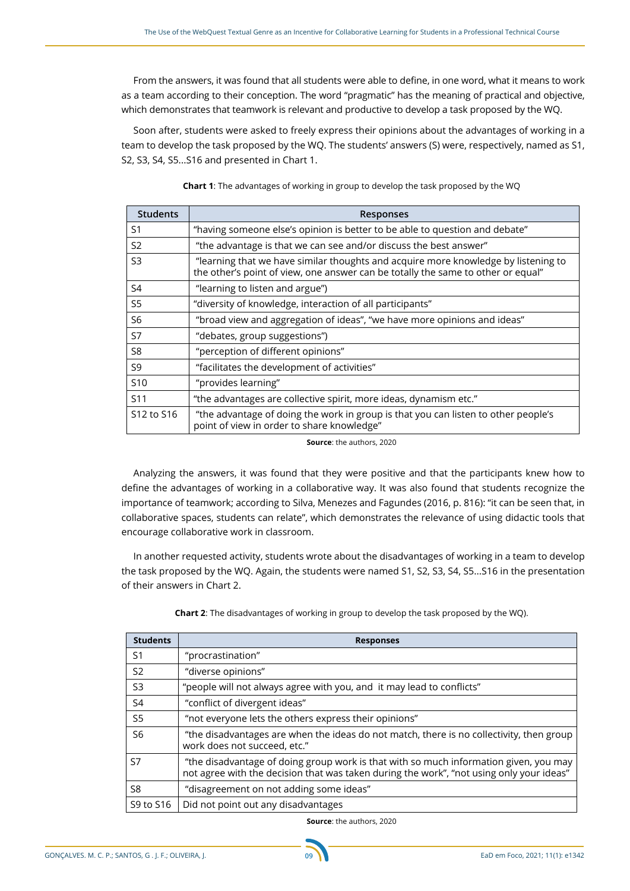From the answers, it was found that all students were able to define, in one word, what it means to work as a team according to their conception. The word "pragmatic" has the meaning of practical and objective, which demonstrates that teamwork is relevant and productive to develop a task proposed by the WQ.

Soon after, students were asked to freely express their opinions about the advantages of working in a team to develop the task proposed by the WQ. The students' answers (S) were, respectively, named as S1, S2, S3, S4, S5...S16 and presented in Chart 1.

| <b>Students</b> | Responses                                                                                                                                                              |  |
|-----------------|------------------------------------------------------------------------------------------------------------------------------------------------------------------------|--|
| S <sub>1</sub>  | "having someone else's opinion is better to be able to question and debate"                                                                                            |  |
| S <sub>2</sub>  | "the advantage is that we can see and/or discuss the best answer"                                                                                                      |  |
| S3              | "learning that we have similar thoughts and acquire more knowledge by listening to<br>the other's point of view, one answer can be totally the same to other or equal" |  |
| S4              | "learning to listen and argue")                                                                                                                                        |  |
| S5              | "diversity of knowledge, interaction of all participants"                                                                                                              |  |
| S6              | "broad view and aggregation of ideas", "we have more opinions and ideas"                                                                                               |  |
| S7              | "debates, group suggestions")                                                                                                                                          |  |
| S <sub>8</sub>  | "perception of different opinions"                                                                                                                                     |  |
| S9              | "facilitates the development of activities"                                                                                                                            |  |
| S <sub>10</sub> | "provides learning"                                                                                                                                                    |  |
| S <sub>11</sub> | "the advantages are collective spirit, more ideas, dynamism etc."                                                                                                      |  |
| S12 to S16      | "the advantage of doing the work in group is that you can listen to other people's<br>point of view in order to share knowledge"                                       |  |

**Chart 1**: The advantages of working in group to develop the task proposed by the WQ

**Source**: the authors, 2020

Analyzing the answers, it was found that they were positive and that the participants knew how to define the advantages of working in a collaborative way. It was also found that students recognize the importance of teamwork; according to Silva, Menezes and Fagundes (2016, p. 816): "it can be seen that, in collaborative spaces, students can relate", which demonstrates the relevance of using didactic tools that encourage collaborative work in classroom.

In another requested activity, students wrote about the disadvantages of working in a team to develop the task proposed by the WQ. Again, the students were named S1, S2, S3, S4, S5...S16 in the presentation of their answers in Chart 2.

| <b>Students</b> | <b>Responses</b>                                                                                                                                                                  |
|-----------------|-----------------------------------------------------------------------------------------------------------------------------------------------------------------------------------|
| S <sub>1</sub>  | "procrastination"                                                                                                                                                                 |
| S <sub>2</sub>  | "diverse opinions"                                                                                                                                                                |
| S <sub>3</sub>  | "people will not always agree with you, and it may lead to conflicts"                                                                                                             |
| S4              | "conflict of divergent ideas"                                                                                                                                                     |
| S <sub>5</sub>  | "not everyone lets the others express their opinions"                                                                                                                             |
| S6              | "the disadvantages are when the ideas do not match, there is no collectivity, then group<br>work does not succeed, etc."                                                          |
| S7              | "the disadvantage of doing group work is that with so much information given, you may<br>not agree with the decision that was taken during the work", "not using only your ideas" |
| S8              | "disagreement on not adding some ideas"                                                                                                                                           |
| S9 to S16       | Did not point out any disadvantages                                                                                                                                               |

**Chart 2**: The disadvantages of working in group to develop the task proposed by the WQ).

**Source**: the authors, 2020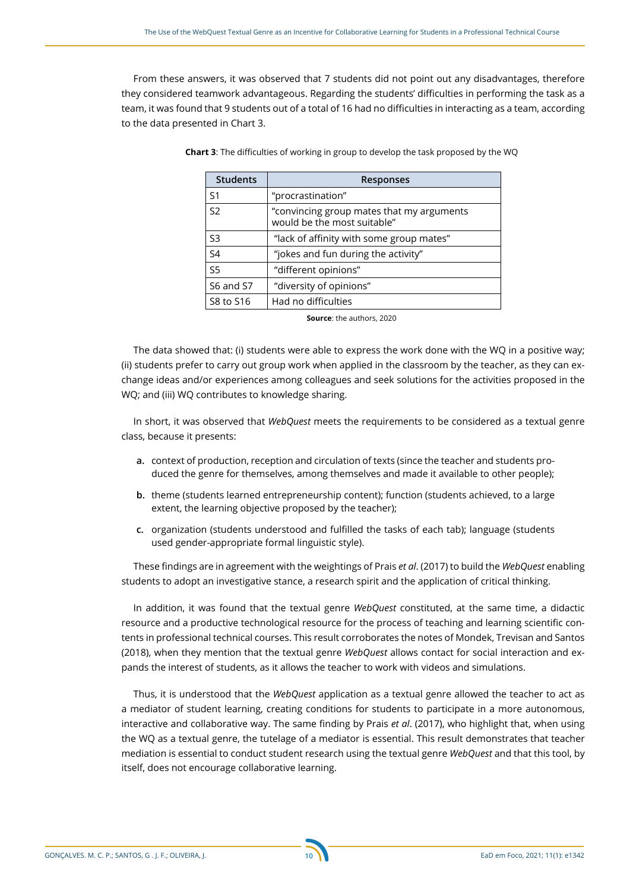From these answers, it was observed that 7 students did not point out any disadvantages, therefore they considered teamwork advantageous. Regarding the students' difficulties in performing the task as a team, it was found that 9 students out of a total of 16 had no difficulties in interacting as a team, according to the data presented in Chart 3.

| <b>Students</b> | <b>Responses</b>                                                         |
|-----------------|--------------------------------------------------------------------------|
| S <sub>1</sub>  | "procrastination"                                                        |
| S <sub>2</sub>  | "convincing group mates that my arguments<br>would be the most suitable" |
| S3              | "lack of affinity with some group mates"                                 |
| S <sub>4</sub>  | "jokes and fun during the activity"                                      |
| S <sub>5</sub>  | "different opinions"                                                     |
| S6 and S7       | "diversity of opinions"                                                  |
| S8 to S16       | Had no difficulties                                                      |

**Chart 3**: The difficulties of working in group to develop the task proposed by the WQ

**Source**: the authors, 2020

The data showed that: (i) students were able to express the work done with the WQ in a positive way; (ii) students prefer to carry out group work when applied in the classroom by the teacher, as they can exchange ideas and/or experiences among colleagues and seek solutions for the activities proposed in the WQ; and (iii) WQ contributes to knowledge sharing.

In short, it was observed that *WebQuest* meets the requirements to be considered as a textual genre class, because it presents:

- **a.** context of production, reception and circulation of texts (since the teacher and students produced the genre for themselves, among themselves and made it available to other people);
- **b.** theme (students learned entrepreneurship content); function (students achieved, to a large extent, the learning objective proposed by the teacher);
- **c.** organization (students understood and fulfilled the tasks of each tab); language (students used gender-appropriate formal linguistic style).

These findings are in agreement with the weightings of Prais *et al*. (2017) to build the *WebQuest* enabling students to adopt an investigative stance, a research spirit and the application of critical thinking.

In addition, it was found that the textual genre *WebQuest* constituted, at the same time, a didactic resource and a productive technological resource for the process of teaching and learning scientific contents in professional technical courses. This result corroborates the notes of Mondek, Trevisan and Santos (2018), when they mention that the textual genre *WebQuest* allows contact for social interaction and expands the interest of students, as it allows the teacher to work with videos and simulations.

Thus, it is understood that the *WebQuest* application as a textual genre allowed the teacher to act as a mediator of student learning, creating conditions for students to participate in a more autonomous, interactive and collaborative way. The same finding by Prais *et al*. (2017), who highlight that, when using the WQ as a textual genre, the tutelage of a mediator is essential. This result demonstrates that teacher mediation is essential to conduct student research using the textual genre *WebQuest* and that this tool, by itself, does not encourage collaborative learning.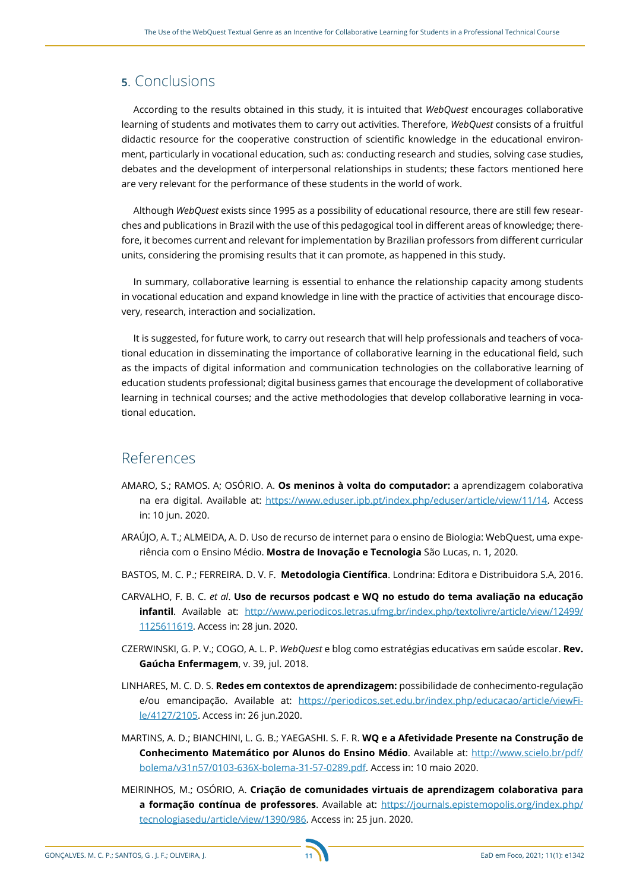# **5**. Conclusions

According to the results obtained in this study, it is intuited that *WebQuest* encourages collaborative learning of students and motivates them to carry out activities. Therefore, *WebQuest* consists of a fruitful didactic resource for the cooperative construction of scientific knowledge in the educational environment, particularly in vocational education, such as: conducting research and studies, solving case studies, debates and the development of interpersonal relationships in students; these factors mentioned here are very relevant for the performance of these students in the world of work.

Although *WebQuest* exists since 1995 as a possibility of educational resource, there are still few researches and publications in Brazil with the use of this pedagogical tool in different areas of knowledge; therefore, it becomes current and relevant for implementation by Brazilian professors from different curricular units, considering the promising results that it can promote, as happened in this study.

In summary, collaborative learning is essential to enhance the relationship capacity among students in vocational education and expand knowledge in line with the practice of activities that encourage discovery, research, interaction and socialization.

It is suggested, for future work, to carry out research that will help professionals and teachers of vocational education in disseminating the importance of collaborative learning in the educational field, such as the impacts of digital information and communication technologies on the collaborative learning of education students professional; digital business games that encourage the development of collaborative learning in technical courses; and the active methodologies that develop collaborative learning in vocational education.

# References

- AMARO, S.; RAMOS. A; OSÓRIO. A. **Os meninos à volta do computador:** a aprendizagem colaborativa na era digital. Available at: <https://www.eduser.ipb.pt/index.php/eduser/article/view/11/14>. Access in: 10 jun. 2020.
- ARAÚJO, A. T.; ALMEIDA, A. D. Uso de recurso de internet para o ensino de Biologia: WebQuest, uma experiência com o Ensino Médio. **Mostra de Inovação e Tecnologia** São Lucas, n. 1, 2020.
- BASTOS, M. C. P.; FERREIRA. D. V. F. **Metodologia Científica**. Londrina: Editora e Distribuidora S.A, 2016.
- CARVALHO, F. B. C. *et al*. **Uso de recursos podcast e WQ no estudo do tema avaliação na educação infantil**. Available at: [http://www.periodicos.letras.ufmg.br/index.php/textolivre/article/view/12499/](http://www.periodicos.letras.ufmg.br/index.php/textolivre/article/view/12499/
1125611619) [1125611619](http://www.periodicos.letras.ufmg.br/index.php/textolivre/article/view/12499/
1125611619). Access in: 28 jun. 2020.
- CZERWINSKI, G. P. V.; COGO, A. L. P. *WebQuest* e blog como estratégias educativas em saúde escolar. **Rev. Gaúcha Enfermagem**, v. 39, jul. 2018.
- LINHARES, M. C. D. S. **Redes em contextos de aprendizagem:** possibilidade de conhecimento-regulação e/ou emancipação. Available at: [https://periodicos.set.edu.br/index.php/educacao/article/viewFi](https://periodicos.set.edu.br/index.php/educacao/article/viewFile/4127/2105)[le/4127/2105.](https://periodicos.set.edu.br/index.php/educacao/article/viewFile/4127/2105) Access in: 26 jun.2020.
- MARTINS, A. D.; BIANCHINI, L. G. B.; YAEGASHI. S. F. R. **WQ e a Afetividade Presente na Construção de Conhecimento Matemático por Alunos do Ensino Médio**. Available at: [http://www.scielo.br/pdf/](http://www.scielo.br/pdf/bolema/v31n57/0103-636X-bolema-31-57-0289.pdf) [bolema/v31n57/0103-636X-bolema-31-57-0289.pdf](http://www.scielo.br/pdf/bolema/v31n57/0103-636X-bolema-31-57-0289.pdf). Access in: 10 maio 2020.
- MEIRINHOS, M.; OSÓRIO, A. **Criação de comunidades virtuais de aprendizagem colaborativa para a formação contínua de professores**. Available at: [https://journals.epistemopolis.org/index.php/](https://journals.epistemopolis.org/index.php/tecnologiasedu/article/view/1390/986) [tecnologiasedu/article/view/1390/986](https://journals.epistemopolis.org/index.php/tecnologiasedu/article/view/1390/986). Access in: 25 jun. 2020.